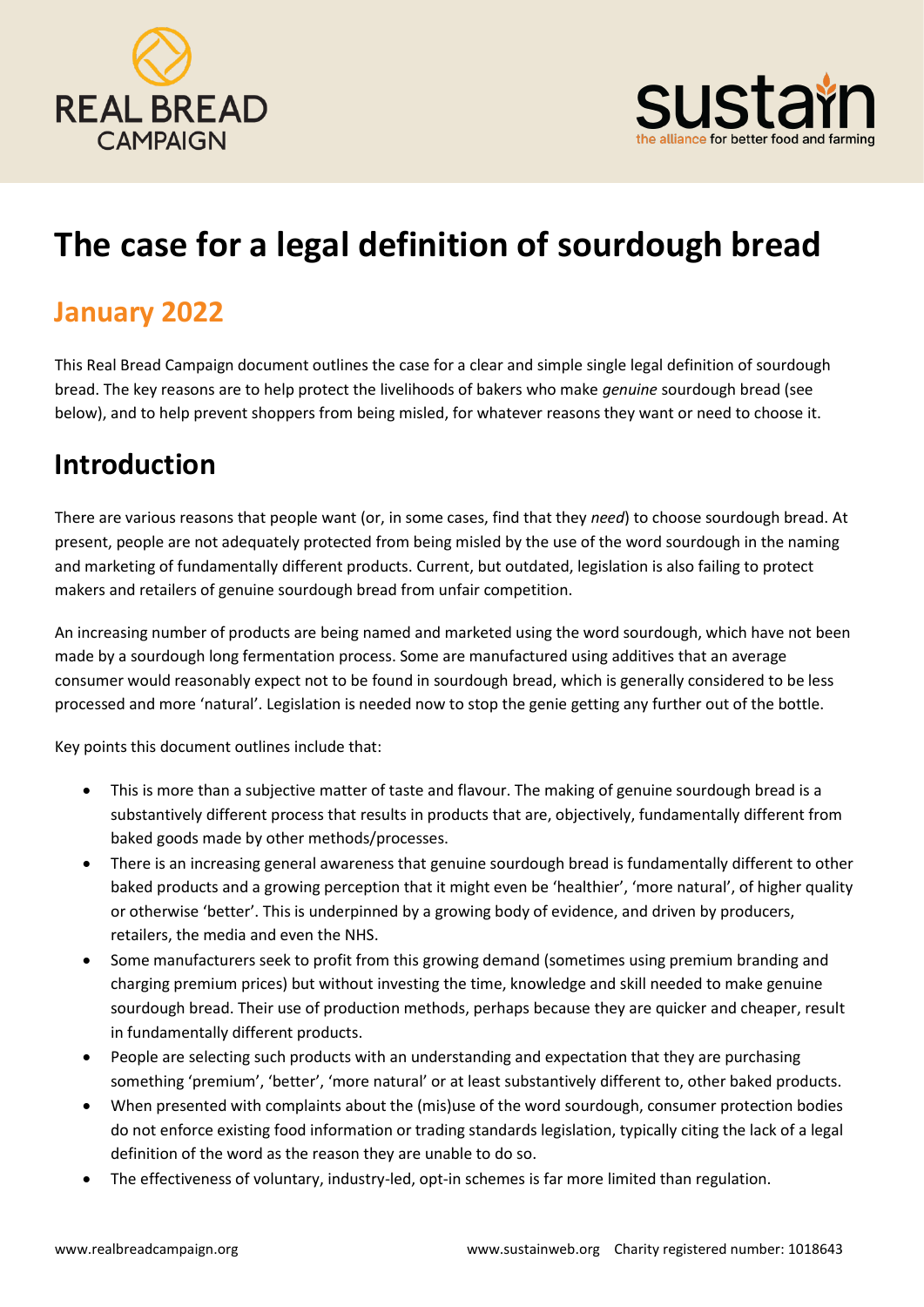



# **The case for a legal definition of sourdough bread**

### **January 2022**

This Real Bread Campaign document outlines the case for a clear and simple single legal definition of sourdough bread. The key reasons are to help protect the livelihoods of bakers who make *genuine* sourdough bread (see below), and to help prevent shoppers from being misled, for whatever reasons they want or need to choose it.

### **Introduction**

There are various reasons that people want (or, in some cases, find that they *need*) to choose sourdough bread. At present, people are not adequately protected from being misled by the use of the word sourdough in the naming and marketing of fundamentally different products. Current, but outdated, legislation is also failing to protect makers and retailers of genuine sourdough bread from unfair competition.

An increasing number of products are being named and marketed using the word sourdough, which have not been made by a sourdough long fermentation process. Some are manufactured using additives that an average consumer would reasonably expect not to be found in sourdough bread, which is generally considered to be less processed and more 'natural'. Legislation is needed now to stop the genie getting any further out of the bottle.

Key points this document outlines include that:

- This is more than a subjective matter of taste and flavour. The making of genuine sourdough bread is a substantively different process that results in products that are, objectively, fundamentally different from baked goods made by other methods/processes.
- There is an increasing general awareness that genuine sourdough bread is fundamentally different to other baked products and a growing perception that it might even be 'healthier', 'more natural', of higher quality or otherwise 'better'. This is underpinned by a growing body of evidence, and driven by producers, retailers, the media and even the NHS.
- Some manufacturers seek to profit from this growing demand (sometimes using premium branding and charging premium prices) but without investing the time, knowledge and skill needed to make genuine sourdough bread. Their use of production methods, perhaps because they are quicker and cheaper, result in fundamentally different products.
- People are selecting such products with an understanding and expectation that they are purchasing something 'premium', 'better', 'more natural' or at least substantively different to, other baked products.
- When presented with complaints about the (mis)use of the word sourdough, consumer protection bodies do not enforce existing food information or trading standards legislation, typically citing the lack of a legal definition of the word as the reason they are unable to do so.
- The effectiveness of voluntary, industry-led, opt-in schemes is far more limited than regulation.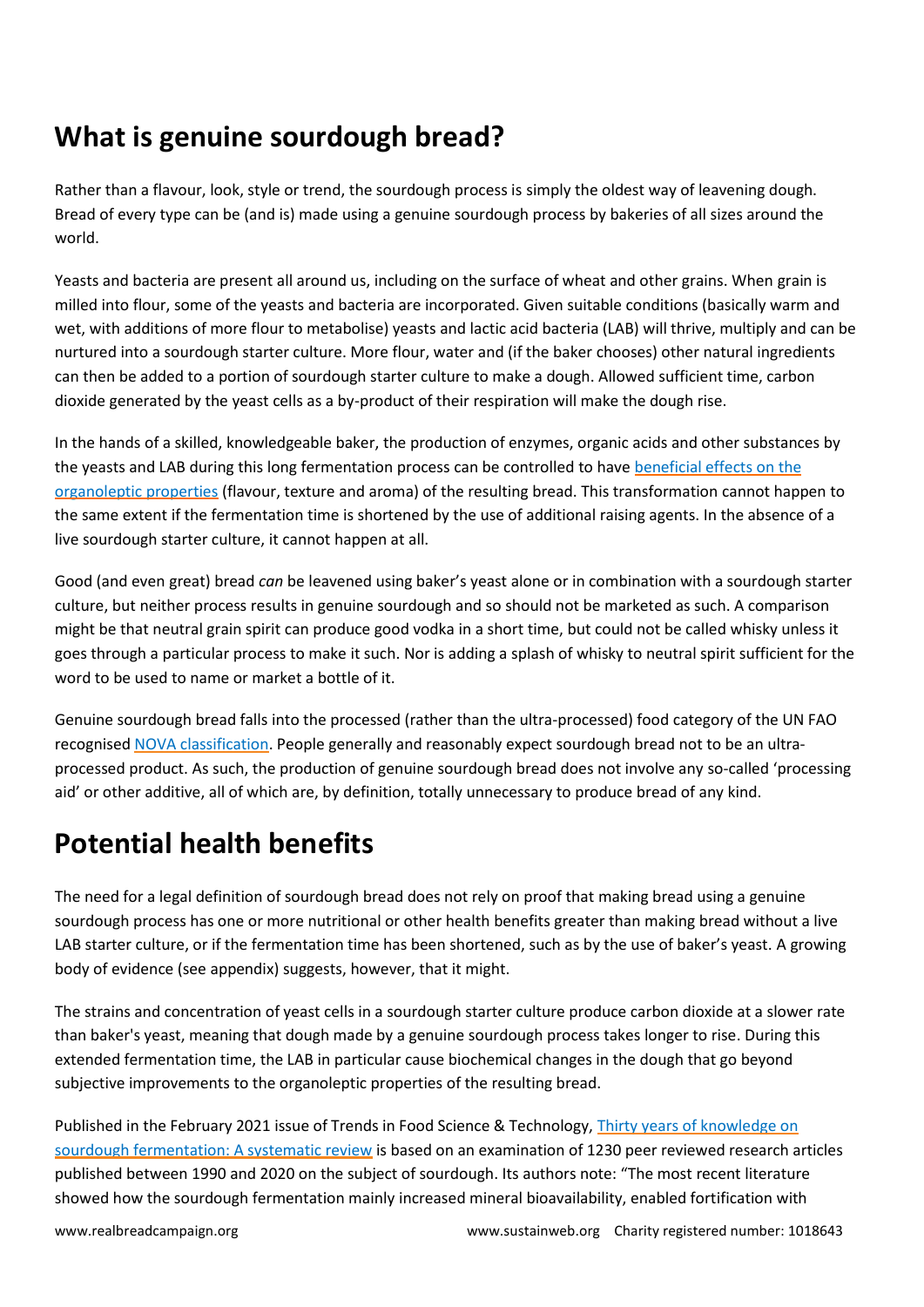### **What is genuine sourdough bread?**

Rather than a flavour, look, style or trend, the sourdough process is simply the oldest way of leavening dough. Bread of every type can be (and is) made using a genuine sourdough process by bakeries of all sizes around the world.

Yeasts and bacteria are present all around us, including on the surface of wheat and other grains. When grain is milled into flour, some of the yeasts and bacteria are incorporated. Given suitable conditions (basically warm and wet, with additions of more flour to metabolise) yeasts and lactic acid bacteria (LAB) will thrive, multiply and can be nurtured into a sourdough starter culture. More flour, water and (if the baker chooses) other natural ingredients can then be added to a portion of sourdough starter culture to make a dough. Allowed sufficient time, carbon dioxide generated by the yeast cells as a by-product of their respiration will make the dough rise.

In the hands of a skilled, knowledgeable baker, the production of enzymes, organic acids and other substances by the yeasts and LAB during this long fermentation process can be controlled to hav[e beneficial effects on the](https://www.umyu.edu.ng/ujmr/UJMR%201_1_2016/UJMR%201_1%202016_014.pdf)  [organoleptic properties](https://www.umyu.edu.ng/ujmr/UJMR%201_1_2016/UJMR%201_1%202016_014.pdf) (flavour, texture and aroma) of the resulting bread. This transformation cannot happen to the same extent if the fermentation time is shortened by the use of additional raising agents. In the absence of a live sourdough starter culture, it cannot happen at all.

Good (and even great) bread *can* be leavened using baker's yeast alone or in combination with a sourdough starter culture, but neither process results in genuine sourdough and so should not be marketed as such. A comparison might be that neutral grain spirit can produce good vodka in a short time, but could not be called whisky unless it goes through a particular process to make it such. Nor is adding a splash of whisky to neutral spirit sufficient for the word to be used to name or market a bottle of it.

Genuine sourdough bread falls into the processed (rather than the ultra-processed) food category of the UN FAO recognise[d NOVA classification.](https://www.fao.org/3/ca5644en/ca5644en.pdf) People generally and reasonably expect sourdough bread not to be an ultraprocessed product. As such, the production of genuine sourdough bread does not involve any so-called 'processing aid' or other additive, all of which are, by definition, totally unnecessary to produce bread of any kind.

## **Potential health benefits**

The need for a legal definition of sourdough bread does not rely on proof that making bread using a genuine sourdough process has one or more nutritional or other health benefits greater than making bread without a live LAB starter culture, or if the fermentation time has been shortened, such as by the use of baker's yeast. A growing body of evidence (see appendix) suggests, however, that it might.

The strains and concentration of yeast cells in a sourdough starter culture produce carbon dioxide at a slower rate than baker's yeast, meaning that dough made by a genuine sourdough process takes longer to rise. During this extended fermentation time, the LAB in particular cause biochemical changes in the dough that go beyond subjective improvements to the organoleptic properties of the resulting bread.

Published in the February 2021 issue of Trends in Food Science & Technology, Thirty years of knowledge on [sourdough fermentation: A systematic review](https://www.sciencedirect.com/science/article/pii/S0924224420307202?via=ihub) is based on an examination of 1230 peer reviewed research articles published between 1990 and 2020 on the subject of sourdough. Its authors note: "The most recent literature showed how the sourdough fermentation mainly increased mineral bioavailability, enabled fortification with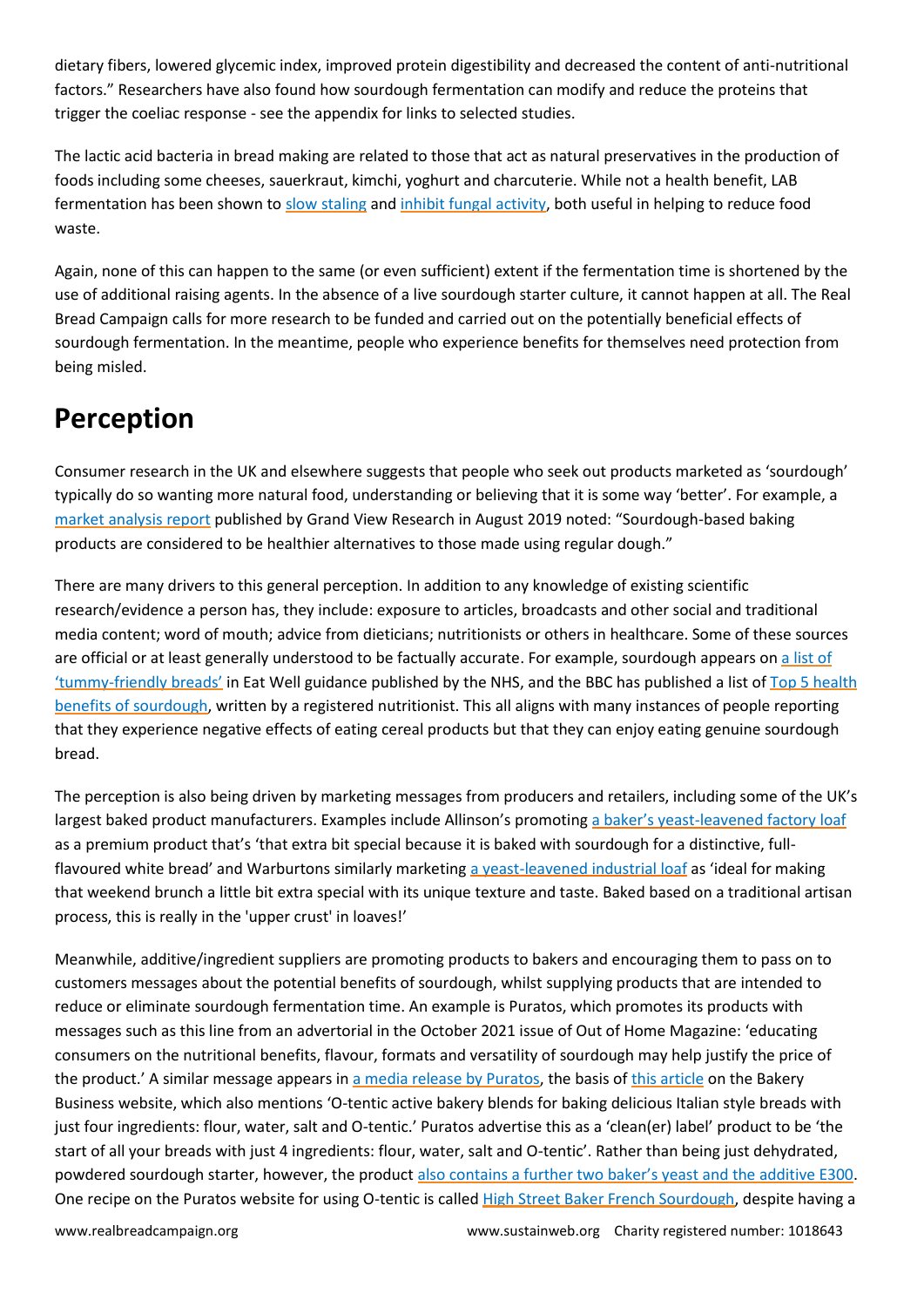dietary fibers, lowered glycemic index, improved protein digestibility and decreased the content of anti-nutritional factors." Researchers have also found how sourdough fermentation can modify and reduce the proteins that trigger the coeliac response - see the appendix for links to selected studies.

The lactic acid bacteria in bread making are related to those that act as natural preservatives in the production of foods including some cheeses, sauerkraut, kimchi, yoghurt and charcuterie. While not a health benefit, LAB fermentation has been shown to [slow staling](https://www.sciencedirect.com/science/article/abs/pii/S0740002006001614) and [inhibit fungal activity,](https://link.springer.com/article/10.1007/s00217-004-0898-1) both useful in helping to reduce food waste.

Again, none of this can happen to the same (or even sufficient) extent if the fermentation time is shortened by the use of additional raising agents. In the absence of a live sourdough starter culture, it cannot happen at all. The Real Bread Campaign calls for more research to be funded and carried out on the potentially beneficial effects of sourdough fermentation. In the meantime, people who experience benefits for themselves need protection from being misled.

### **Perception**

Consumer research in the UK and elsewhere suggests that people who seek out products marketed as 'sourdough' typically do so wanting more natural food, understanding or believing that it is some way 'better'. For example, a [market analysis report](https://www.grandviewresearch.com/industry-analysis/sourdough-market) published by Grand View Research in August 2019 noted: "Sourdough-based baking products are considered to be healthier alternatives to those made using regular dough."

There are many drivers to this general perception. In addition to any knowledge of existing scientific research/evidence a person has, they include: exposure to articles, broadcasts and other social and traditional media content; word of mouth; advice from dieticians; nutritionists or others in healthcare. Some of these sources are official or at least generally understood to be factually accurate. For example, sourdough appears o[n a list of](http://www.nhs.uk/live-well/eat-well/should-you-cut-out-bread-to-stop-bloating/)  'tummy-[friendly breads'](http://www.nhs.uk/live-well/eat-well/should-you-cut-out-bread-to-stop-bloating/) in Eat Well guidance published by the NHS, and the BBC has published a list of [Top 5 health](https://www.bbcgoodfood.com/howto/guide/health-benefits-sourdough)  [benefits of sourdough,](https://www.bbcgoodfood.com/howto/guide/health-benefits-sourdough) written by a registered nutritionist. This all aligns with many instances of people reporting that they experience negative effects of eating cereal products but that they can enjoy eating genuine sourdough bread.

The perception is also being driven by marketing messages from producers and retailers, including some of the UK's largest baked product manufacturers. Examples include Allinson's promoting a baker's yeast[-leavened factory loaf](https://www.allinsonsbread.co.uk/range-of-breads/rustic-white) as a premium product that's 'that extra bit special because it is baked with sourdough for a distinctive, fullflavoured white bread' and Warburtons similarly marketing [a yeast-leavened industrial loaf](https://www.warburtons.co.uk/products/bread/sourdough/white-with-sourdough-540g/) as 'ideal for making that weekend brunch a little bit extra special with its unique texture and taste. Baked based on a traditional artisan process, this is really in the 'upper crust' in loaves!'

Meanwhile, additive/ingredient suppliers are promoting products to bakers and encouraging them to pass on to customers messages about the potential benefits of sourdough, whilst supplying products that are intended to reduce or eliminate sourdough fermentation time. An example is Puratos, which promotes its products with messages such as this line from an advertorial in the October 2021 issue of Out of Home Magazine: 'educating consumers on the nutritional benefits, flavour, formats and versatility of sourdough may help justify the price of the product.' A similar message appears in [a media release by Puratos,](https://www.puratos.co.uk/en/news/Puratos%20launches%20UK%20made%20sourdough#:~:text=International%20baking%20and%20patisserie%20business%2C%20Puratos%20UK%20is,increasingly%20seek%20breads%20with%20natural%20ingredients%20and%20flavour.) the basis of [this article](https://www.bakerybusiness.com/story.php?s=2021-08-31-puratos-launches-uk-made-sourdough) on the Bakery Business website, which also mentions 'O-tentic active bakery blends for baking delicious Italian style breads with just four ingredients: flour, water, salt and O-tentic.' Puratos advertise this as a 'clean(er) label' product to be 'the start of all your breads with just 4 ingredients: flour, water, salt and O-tentic'. Rather than being just dehydrated, powdered sourdough starter, however, the product [also contains a further two baker's yeast and the additive E300](https://www.puratos.co.uk/en/products/o-tentic_durum). One recipe on the Puratos website for using O-tentic is called [High Street Baker French Sourdough,](https://www.puratos.co.uk/en/recipes/high_street_bakerfrenchsourdough) despite having a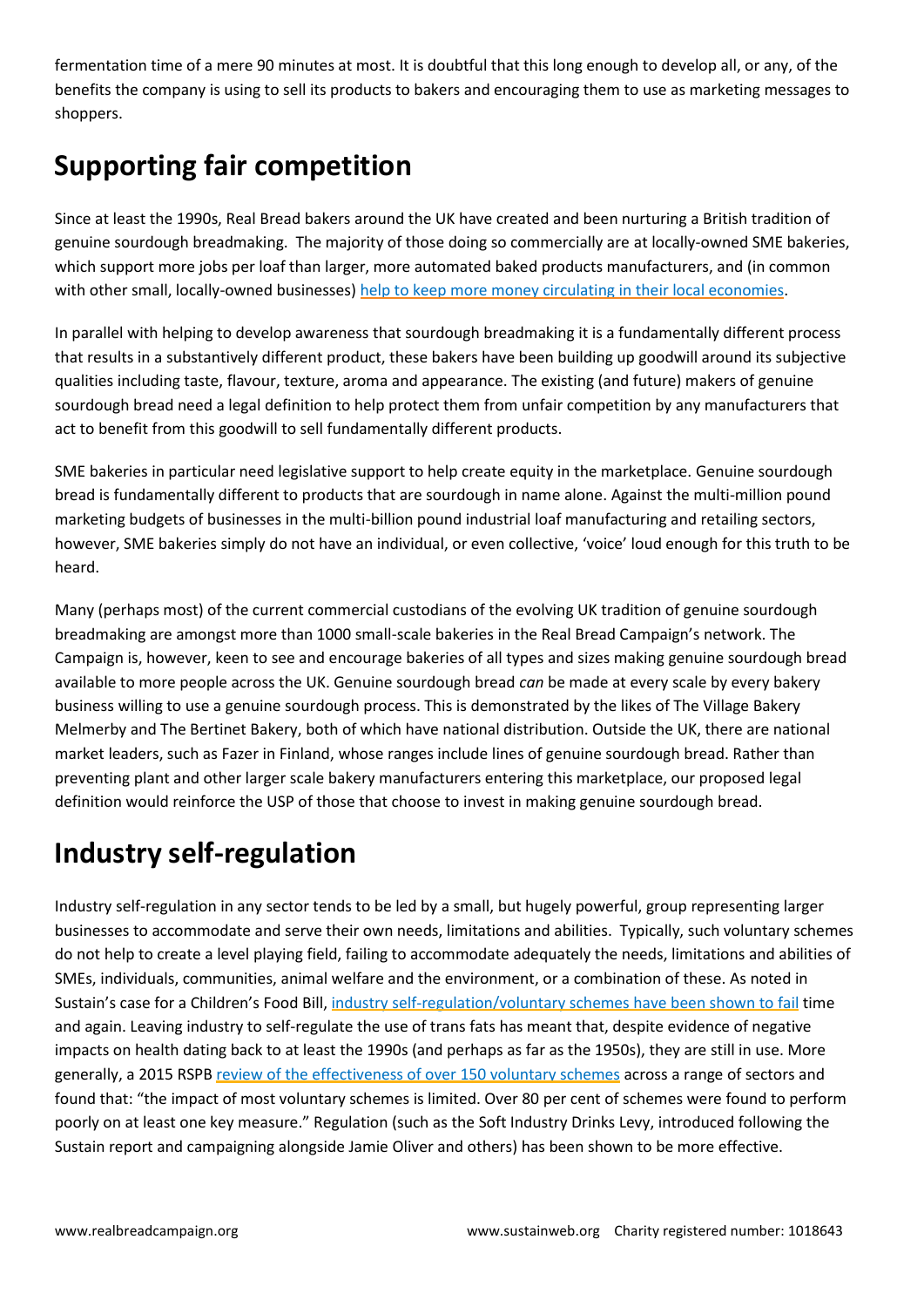fermentation time of a mere 90 minutes at most. It is doubtful that this long enough to develop all, or any, of the benefits the company is using to sell its products to bakers and encouraging them to use as marketing messages to shoppers.

## **Supporting fair competition**

Since at least the 1990s, Real Bread bakers around the UK have created and been nurturing a British tradition of genuine sourdough breadmaking. The majority of those doing so commercially are at locally-owned SME bakeries, which support more jobs per loaf than larger, more automated baked products manufacturers, and (in common with other small, locally-owned businesses) [help to keep more money circulating in their local economies.](https://www.lm3online.com/about)

In parallel with helping to develop awareness that sourdough breadmaking it is a fundamentally different process that results in a substantively different product, these bakers have been building up goodwill around its subjective qualities including taste, flavour, texture, aroma and appearance. The existing (and future) makers of genuine sourdough bread need a legal definition to help protect them from unfair competition by any manufacturers that act to benefit from this goodwill to sell fundamentally different products.

SME bakeries in particular need legislative support to help create equity in the marketplace. Genuine sourdough bread is fundamentally different to products that are sourdough in name alone. Against the multi-million pound marketing budgets of businesses in the multi-billion pound industrial loaf manufacturing and retailing sectors, however, SME bakeries simply do not have an individual, or even collective, 'voice' loud enough for this truth to be heard.

Many (perhaps most) of the current commercial custodians of the evolving UK tradition of genuine sourdough breadmaking are amongst more than 1000 small-scale bakeries in the Real Bread Campaign's network. The Campaign is, however, keen to see and encourage bakeries of all types and sizes making genuine sourdough bread available to more people across the UK. Genuine sourdough bread *can* be made at every scale by every bakery business willing to use a genuine sourdough process. This is demonstrated by the likes of The Village Bakery Melmerby and The Bertinet Bakery, both of which have national distribution. Outside the UK, there are national market leaders, such as Fazer in Finland, whose ranges include lines of genuine sourdough bread. Rather than preventing plant and other larger scale bakery manufacturers entering this marketplace, our proposed legal definition would reinforce the USP of those that choose to invest in making genuine sourdough bread.

### **Industry self-regulation**

Industry self-regulation in any sector tends to be led by a small, but hugely powerful, group representing larger businesses to accommodate and serve their own needs, limitations and abilities. Typically, such voluntary schemes do not help to create a level playing field, failing to accommodate adequately the needs, limitations and abilities of SMEs, individuals, communities, animal welfare and the environment, or a combination of these. As noted in Sustain's case for a Children's Food Bill, industry [self-regulation/voluntary](https://www.sustainweb.org/publications/the_childrens_food_bill_why_need_law/) schemes have been shown to fail time and again. Leaving industry to self-regulate the use of trans fats has meant that, despite evidence of negative impacts on health dating back to at least the 1990s (and perhaps as far as the 1950s), they are still in use. More generally, a 2015 RSPB review of the [effectiveness](http://ww2.rspb.org.uk/our-work/rspb-news/news/409329-relying-on-voluntary-measures-wont-solve-environmental-problems) of over 150 voluntary schemes across a range of sectors and found that: "the impact of most voluntary schemes is limited. Over 80 per cent of schemes were found to perform poorly on at least one key measure." Regulation (such as the Soft Industry Drinks Levy, introduced following the Sustain report and campaigning alongside Jamie Oliver and others) has been shown to be more effective.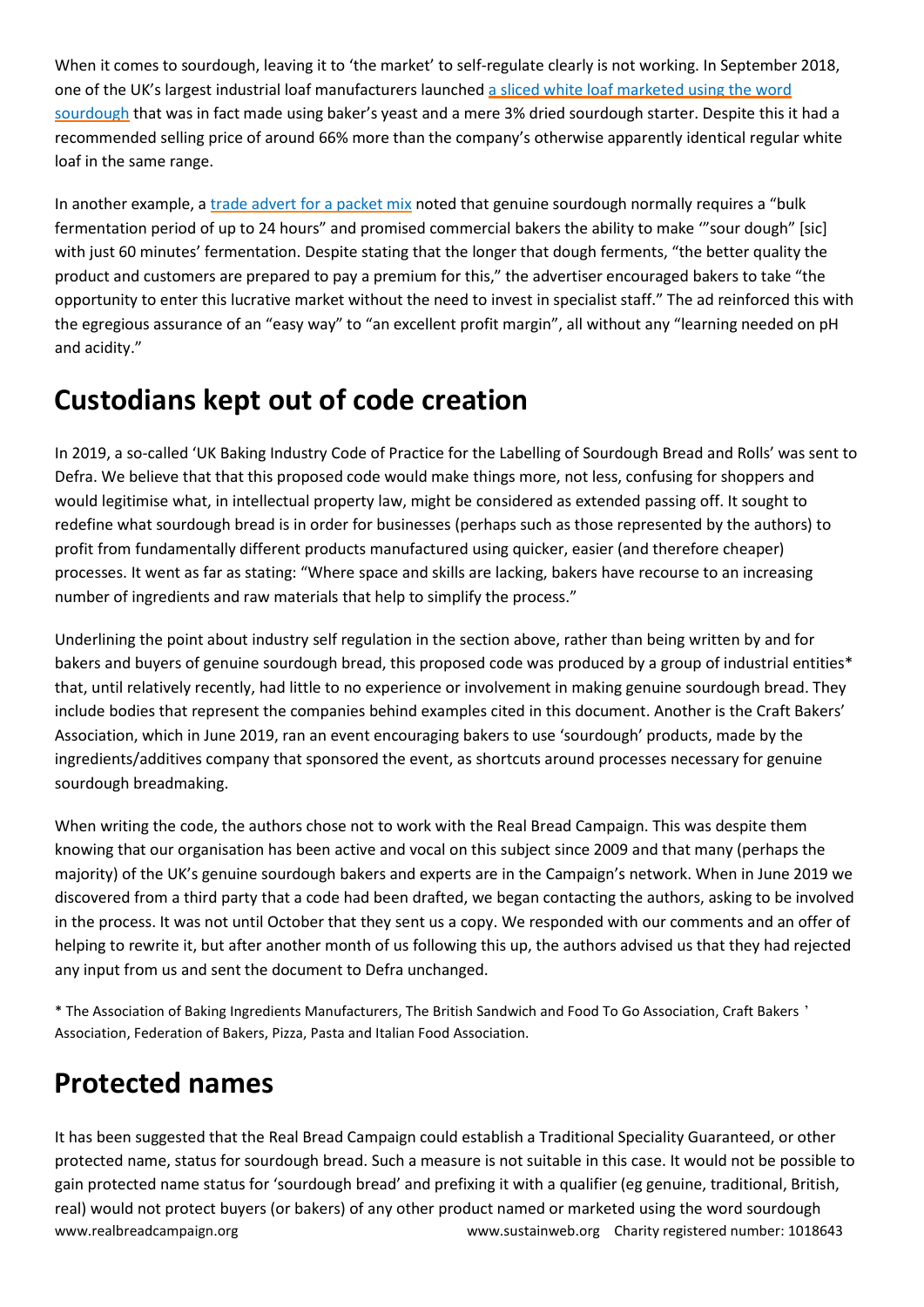When it comes to sourdough, leaving it to 'the market' to self-regulate clearly is not working. In September 2018, one of the UK's largest industrial loaf manufacturers launched a sliced white loaf [marketed](https://bakeryinfo.co.uk/finished-goods/warburtons-adds-to-toastie-range-with-sourdough-loaf/625328.article) using the word [sourdough](https://bakeryinfo.co.uk/finished-goods/warburtons-adds-to-toastie-range-with-sourdough-loaf/625328.article) that was in fact made using baker's yeast and a mere 3% dried sourdough starter. Despite this it had a recommended selling price of around 66% more than the company's otherwise apparently identical regular white loaf in the same range.

In another example, a trade advert for a [packet](https://www.sustainweb.org/news/may16_asa_artisan_packet_mix/) mix noted that genuine sourdough normally requires a "bulk fermentation period of up to 24 hours" and promised commercial bakers the ability to make '"sour dough" [sic] with just 60 minutes' fermentation. Despite stating that the longer that dough ferments, "the better quality the product and customers are prepared to pay a premium for this," the advertiser encouraged bakers to take "the opportunity to enter this lucrative market without the need to invest in specialist staff." The ad reinforced this with the egregious assurance of an "easy way" to "an excellent profit margin", all without any "learning needed on pH and acidity."

## **Custodians kept out of code creation**

In 2019, a so-called 'UK Baking Industry Code of Practice for the Labelling of Sourdough Bread and Rolls' was sent to Defra. We believe that that this proposed code would make things more, not less, confusing for shoppers and would legitimise what, in intellectual property law, might be considered as extended passing off. It sought to redefine what sourdough bread is in order for businesses (perhaps such as those represented by the authors) to profit from fundamentally different products manufactured using quicker, easier (and therefore cheaper) processes. It went as far as stating: "Where space and skills are lacking, bakers have recourse to an increasing number of ingredients and raw materials that help to simplify the process."

Underlining the point about industry self regulation in the section above, rather than being written by and for bakers and buyers of genuine sourdough bread, this proposed code was produced by a group of industrial entities\* that, until relatively recently, had little to no experience or involvement in making genuine sourdough bread. They include bodies that represent the companies behind examples cited in this document. Another is the Craft Bakers' Association, which in June 2019, ran an event encouraging bakers to use 'sourdough' products, made by the ingredients/additives company that sponsored the event, as shortcuts around processes necessary for genuine sourdough breadmaking.

When writing the code, the authors chose not to work with the Real Bread Campaign. This was despite them knowing that our organisation has been active and vocal on this subject since 2009 and that many (perhaps the majority) of the UK's genuine sourdough bakers and experts are in the Campaign's network. When in June 2019 we discovered from a third party that a code had been drafted, we began contacting the authors, asking to be involved in the process. It was not until October that they sent us a copy. We responded with our comments and an offer of helping to rewrite it, but after another month of us following this up, the authors advised us that they had rejected any input from us and sent the document to Defra unchanged.

\* The Association of Baking Ingredients Manufacturers, The British Sandwich and Food To Go Association, Craft Bakers ' Association, Federation of Bakers, Pizza, Pasta and Italian Food Association.

## **Protected names**

www.realbreadcampaign.org entity registered number: 1018643 It has been suggested that the Real Bread Campaign could establish a Traditional Speciality Guaranteed, or other protected name, status for sourdough bread. Such a measure is not suitable in this case. It would not be possible to gain protected name status for 'sourdough bread' and prefixing it with a qualifier (eg genuine, traditional, British, real) would not protect buyers (or bakers) of any other product named or marketed using the word sourdough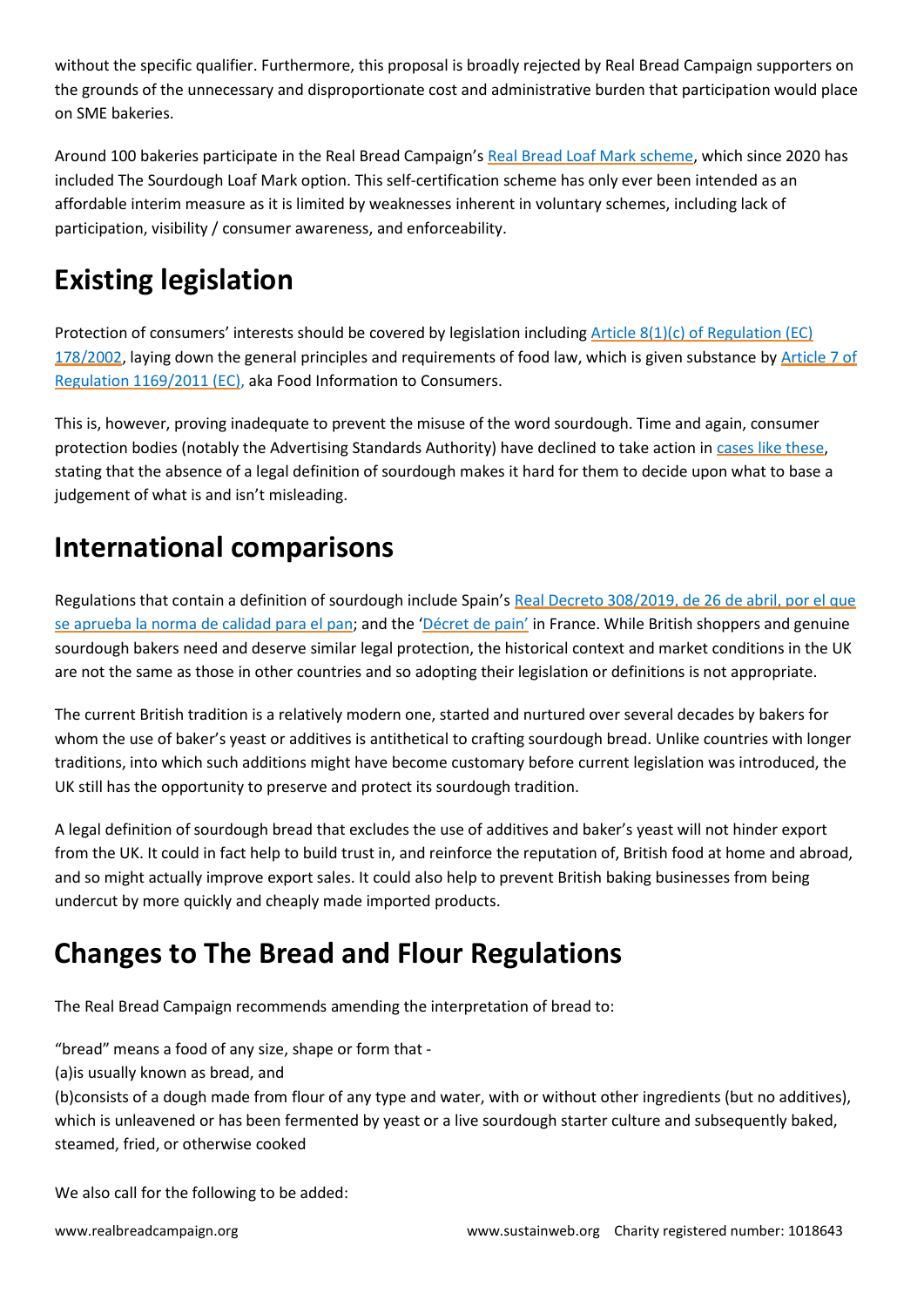without the specific qualifier. Furthermore, this proposal is broadly rejected by Real Bread Campaign supporters on the grounds of the unnecessary and disproportionate cost and administrative burden that participation would place on SME bakeries.

Around 100 bakeries participate in the Real Bread Campaign's Real Bread Loaf Mark [scheme,](https://www.sustainweb.org/realbread/real_bread_loaf_mark/) which since 2020 has included The Sourdough Loaf Mark option. This self-certification scheme has only ever been intended as an affordable interim measure as it is limited by weaknesses inherent in voluntary schemes, including lack of participation, visibility / consumer awareness, and enforceability.

## **Existing legislation**

Protection of consumers' interests should be covered by legislation including [Article 8\(1\)\(c\) of Regulation \(EC\)](https://www.legislation.gov.uk/eur/2002/178/article/8)  [178/2002,](https://www.legislation.gov.uk/eur/2002/178/article/8) laying down the general principles and requirements of food law, which is given substance by Article 7 of [Regulation 1169/2011 \(EC\),](https://www.legislation.gov.uk/eur/2011/1169/article/7) aka Food Information to Consumers.

This is, however, proving inadequate to prevent the misuse of the word sourdough. Time and again, consumer protection bodies (notably the Advertising Standards Authority) have declined to take action i[n cases like these,](https://www.sustainweb.org/news/dec19_asa_failing_to_protect_you_from_sourfaux/) stating that the absence of a legal definition of sourdough makes it hard for them to decide upon what to base a judgement of what is and isn't misleading.

## **International comparisons**

Regulations that contain a definition of sourdough include Spain's Real Decreto 308/2019, de 26 de abril, por el que [se aprueba la norma de calidad para el pan](https://www.sustainweb.org/news/jul19_spain_gets_honest_crust_act_new_bread_law/); and the ['Décret de pain'](https://www.legifrance.gouv.fr/loda/id/JORFTEXT000000727617/) in France. While British shoppers and genuine sourdough bakers need and deserve similar legal protection, the historical context and market conditions in the UK are not the same as those in other countries and so adopting their legislation or definitions is not appropriate.

The current British tradition is a relatively modern one, started and nurtured over several decades by bakers for whom the use of baker's yeast or additives is antithetical to crafting sourdough bread. Unlike countries with longer traditions, into which such additions might have become customary before current legislation was introduced, the UK still has the opportunity to preserve and protect its sourdough tradition.

A legal definition of sourdough bread that excludes the use of additives and baker's yeast will not hinder export from the UK. It could in fact help to build trust in, and reinforce the reputation of, British food at home and abroad, and so might actually improve export sales. It could also help to prevent British baking businesses from being undercut by more quickly and cheaply made imported products.

## **Changes to The Bread and Flour Regulations**

The Real Bread Campaign recommends amending the interpretation of bread to:

"bread" means a food of any size, shape or form that -

(a)is usually known as bread, and

(b)consists of a dough made from flour of any type and water, with or without other ingredients (but no additives), which is unleavened or has been fermented by yeast or a live sourdough starter culture and subsequently baked, steamed, fried, or otherwise cooked

We also call for the following to be added: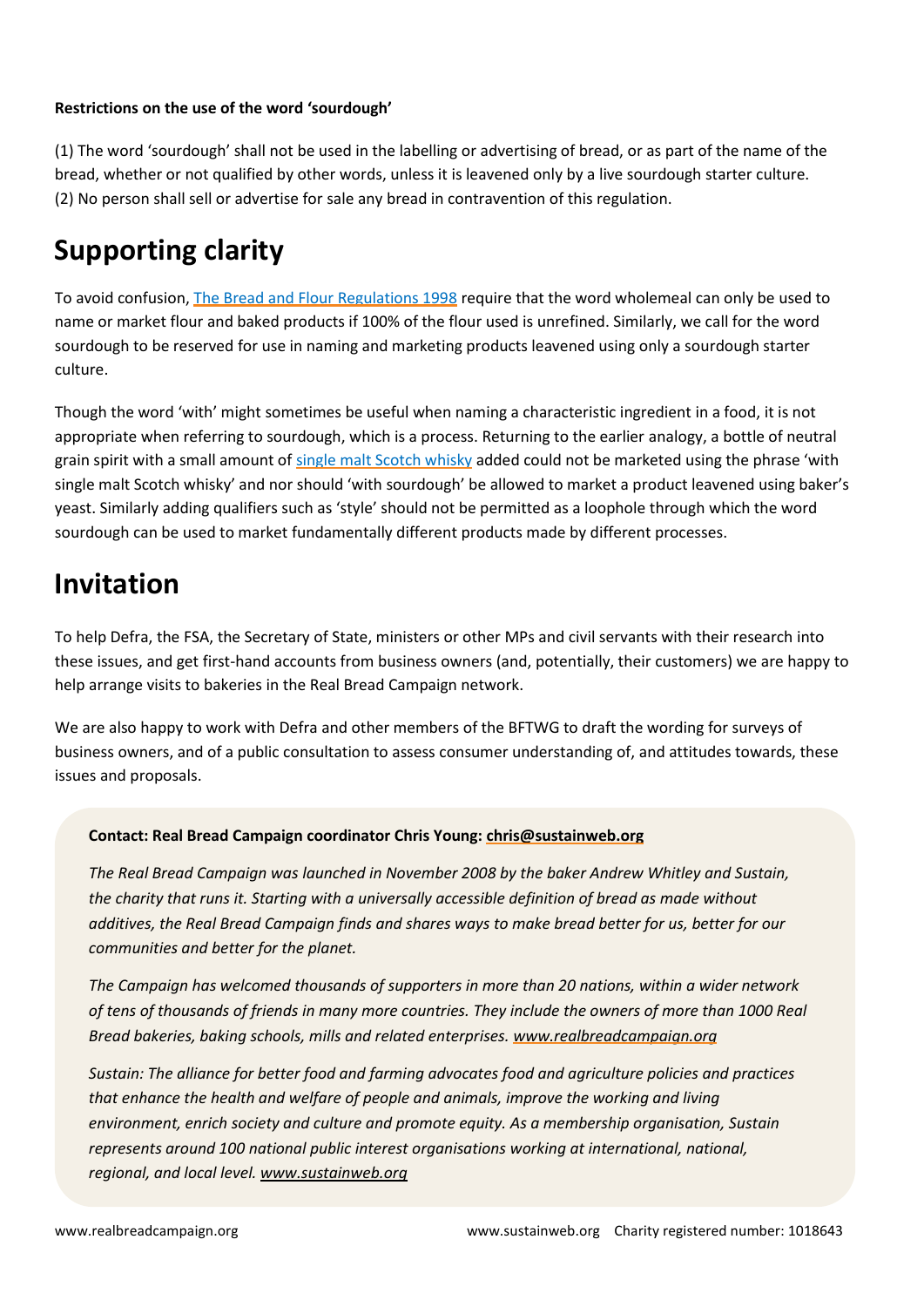#### **Restrictions on the use of the word 'sourdough'**

(1) The word 'sourdough' shall not be used in the labelling or advertising of bread, or as part of the name of the bread, whether or not qualified by other words, unless it is leavened only by a live sourdough starter culture. (2) No person shall sell or advertise for sale any bread in contravention of this regulation.

### **Supporting clarity**

To avoid confusion, [The Bread and Flour Regulations 1998](https://www.legislation.gov.uk/uksi/1998/141) require that the word wholemeal can only be used to name or market flour and baked products if 100% of the flour used is unrefined. Similarly, we call for the word sourdough to be reserved for use in naming and marketing products leavened using only a sourdough starter culture.

Though the word 'with' might sometimes be useful when naming a characteristic ingredient in a food, it is not appropriate when referring to sourdough, which is a process. Returning to the earlier analogy, a bottle of neutral grain spirit with a small amount o[f single malt Scotch whisky](https://www.legislation.gov.uk/uksi/2009/2890/made) added could not be marketed using the phrase 'with single malt Scotch whisky' and nor should 'with sourdough' be allowed to market a product leavened using baker's yeast. Similarly adding qualifiers such as 'style' should not be permitted as a loophole through which the word sourdough can be used to market fundamentally different products made by different processes.

### **Invitation**

To help Defra, the FSA, the Secretary of State, ministers or other MPs and civil servants with their research into these issues, and get first-hand accounts from business owners (and, potentially, their customers) we are happy to help arrange visits to bakeries in the Real Bread Campaign network.

We are also happy to work with Defra and other members of the BFTWG to draft the wording for surveys of business owners, and of a public consultation to assess consumer understanding of, and attitudes towards, these issues and proposals.

#### **Contact: Real Bread Campaign coordinator Chris Young: [chris@sustainweb.org](mailto:chris@sustainweb.org)**

*The Real Bread Campaign was launched in November 2008 by the baker Andrew Whitley and Sustain, the charity that runs it. Starting with a universally accessible definition of bread as made without* additives, the Real Bread Campaign finds and shares ways to make bread better for us, better for our *communities and better for the planet.*

*The Campaign has welcomed thousands of supporters in more than 20 nations, within a wider network* of tens of thousands of friends in many more countries. They include the owners of more than 1000 Real *Bread bakeries, baking schools, mills and related enterprises. [www.realbreadcampaign.org](http://www.realbreadcampaign.org/)*

*Sustain: The alliance for better food and farming advocates food and agriculture policies and practices that enhance the health and welfare of people and animals, improve the working and living environment, enrich society and culture and promote equity. As a membership organisation, Sustain represents around 100 national public interest organisations working at international, national, regional, and local level. [www.sustainweb.org](http://www.sustainweb.org/)*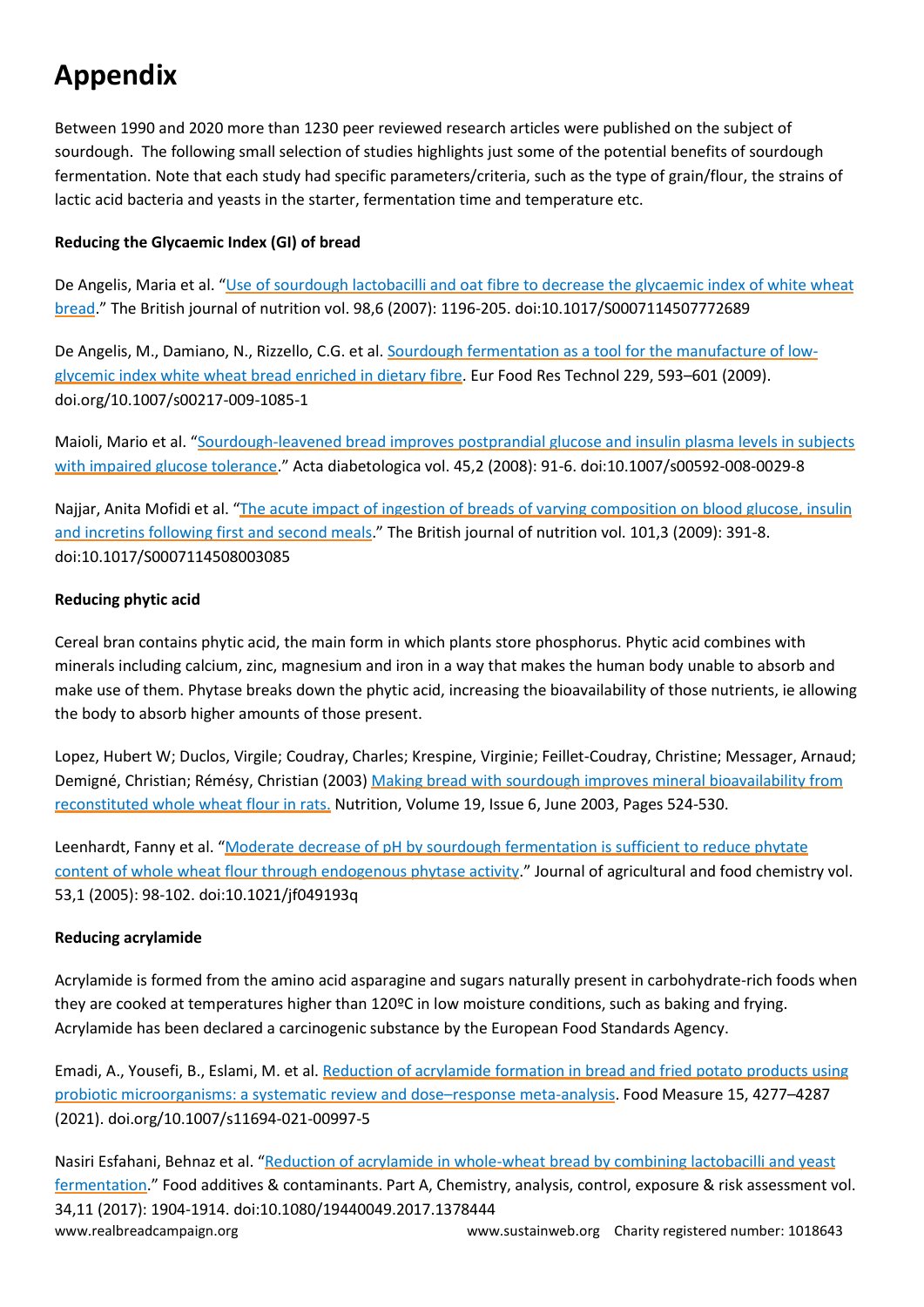## **Appendix**

Between 1990 and 2020 more than 1230 peer reviewed research articles were published on the subject of sourdough. The following small selection of studies highlights just some of the potential benefits of sourdough fermentation. Note that each study had specific parameters/criteria, such as the type of grain/flour, the strains of lactic acid bacteria and yeasts in the starter, fermentation time and temperature etc.

#### **Reducing the Glycaemic Index (GI) of bread**

De Angelis, Maria et al. "Use of [sourdough](https://pubmed.ncbi.nlm.nih.gov/17697425/) lactobacilli and oat fibre to decrease the glycaemic index of white wheat [bread](https://pubmed.ncbi.nlm.nih.gov/17697425/)." The British journal of nutrition vol. 98,6 (2007): 1196-205. doi:10.1017/S0007114507772689

De Angelis, M., Damiano, N., Rizzello, C.G. et al. Sourdough [fermentation](https://link.springer.com/article/10.1007/s00217-009-1085-1) as a tool for the manufacture of lowglycemic index white wheat bread [enriched](https://link.springer.com/article/10.1007/s00217-009-1085-1) in dietary fibre. Eur Food Res Technol 229, 593–601 (2009). doi.org/10.1007/s00217-009-1085-1

Maioli, Mario et al. "[Sourdough-leavened](https://pubmed.ncbi.nlm.nih.gov/18317680/) bread improves postprandial glucose and insulin plasma levels in subjects with impaired glucose [tolerance](https://pubmed.ncbi.nlm.nih.gov/18317680/)." Acta diabetologica vol. 45,2 (2008): 91-6. doi:10.1007/s00592-008-0029-8

Najjar, Anita Mofidi et al. "The acute impact of ingestion of breads of varying [composition](https://pubmed.ncbi.nlm.nih.gov/18570696/) on blood glucose, insulin and incretins [following](https://pubmed.ncbi.nlm.nih.gov/18570696/) first and second meals." The British journal of nutrition vol. 101,3 (2009): 391-8. doi:10.1017/S0007114508003085

#### **Reducing phytic acid**

Cereal bran contains phytic acid, the main form in which plants store phosphorus. Phytic acid combines with minerals including calcium, zinc, magnesium and iron in a way that makes the human body unable to absorb and make use of them. Phytase breaks down the phytic acid, increasing the bioavailability of those nutrients, ie allowing the body to absorb higher amounts of those present.

Lopez, Hubert W; Duclos, Virgile; Coudray, Charles; Krespine, Virginie; Feillet-Coudray, Christine; Messager, Arnaud; Demigné, Christian; Rémésy, Christian (2003) Making bread with sourdough improves mineral [bioavailability](https://www.sciencedirect.com/science/article/abs/pii/S0899900702010791?via=ihub) from [reconstituted](https://www.sciencedirect.com/science/article/abs/pii/S0899900702010791?via=ihub) whole wheat flour in rats. Nutrition, Volume 19, Issue 6, June 2003, Pages 524-530.

Leenhardt, Fanny et al. "Moderate decrease of pH by sourdough [fermentation](https://pubmed.ncbi.nlm.nih.gov/15631515/) is sufficient to reduce phytate content of whole wheat flour through [endogenous](https://pubmed.ncbi.nlm.nih.gov/15631515/) phytase activity." Journal of agricultural and food chemistry vol. 53,1 (2005): 98-102. doi:10.1021/jf049193q

#### **Reducing acrylamide**

Acrylamide is formed from the amino acid asparagine and sugars naturally present in carbohydrate-rich foods when they are cooked at temperatures higher than 120ºC in low moisture conditions, such as baking and frying. Acrylamide has been declared a carcinogenic substance by the European Food Standards Agency.

Emadi, A., Yousefi, B., Eslami, M. et al. Reduction of [acrylamide](https://link.springer.com/article/10.1007/s11694-021-00997-5) formation in bread and fried potato products using probiotic [microorganisms:](https://link.springer.com/article/10.1007/s11694-021-00997-5) a systematic review and dose–response meta-analysis. Food Measure 15, 4277–4287 (2021). doi.org/10.1007/s11694-021-00997-5

www.realbreadcampaign.org entity registered number: 1018643 Nasiri Esfahani, Behnaz et al. "Reduction of acrylamide in [whole-wheat](https://pubmed.ncbi.nlm.nih.gov/28952425/) bread by combining lactobacilli and yeast [fermentation](https://pubmed.ncbi.nlm.nih.gov/28952425/)." Food additives & contaminants. Part A, Chemistry, analysis, control, exposure & risk assessment vol. 34,11 (2017): 1904-1914. doi:10.1080/19440049.2017.1378444